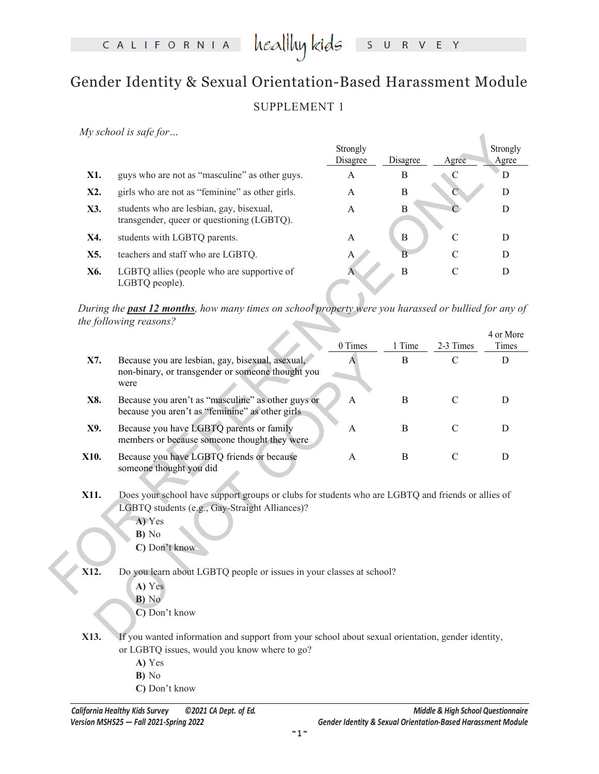CALIFORNIA

heal<del>l</del>luy kids E Y  $S$  $R$ 

## Gender Identity & Sexual Orientation-Based Harassment Module SUPPLEMENT 1

*My school is safe for…*

|     |                                                                                        | Strongly<br>Disagree | Disagree | Agree | Strongly<br>Agree |
|-----|----------------------------------------------------------------------------------------|----------------------|----------|-------|-------------------|
| X1. | guys who are not as "masculine" as other guys.                                         | A                    | В        |       |                   |
| X2. | girls who are not as "feminine" as other girls.                                        | A                    | В        |       |                   |
| X3. | students who are lesbian, gay, bisexual,<br>transgender, queer or questioning (LGBTQ). | A                    | В        |       |                   |
| X4. | students with LGBTQ parents.                                                           | A                    | B        | C     |                   |
| X5. | teachers and staff who are LGBTQ.                                                      | A                    | B        | C     |                   |
| X6. | LGBTQ allies (people who are supportive of<br>LGBTQ people).                           | A                    | B        | C     |                   |

|      | $my$ school is suff for $$                                                                                                                                                              |                      |              |               |            |
|------|-----------------------------------------------------------------------------------------------------------------------------------------------------------------------------------------|----------------------|--------------|---------------|------------|
|      |                                                                                                                                                                                         | Strongly<br>Disagree | Disagree     | Agree         | Strongly   |
| X1.  | guys who are not as "masculine" as other guys.                                                                                                                                          | A                    | B            | $\mathbf C$   | Agree<br>D |
|      |                                                                                                                                                                                         |                      |              |               |            |
| X2.  | girls who are not as "feminine" as other girls.                                                                                                                                         | $\mathsf{A}$         | B            | $\mathcal{C}$ | D          |
| X3.  | students who are lesbian, gay, bisexual,<br>transgender, queer or questioning (LGBTQ).                                                                                                  | A                    | B            | $\mathcal{C}$ | D          |
| X4.  | students with LGBTQ parents.                                                                                                                                                            | A                    | $\, {\bf B}$ | $\mathcal{C}$ | D          |
| X5.  | teachers and staff who are LGBTQ.                                                                                                                                                       | A                    | B            | $\mathsf{C}$  | D          |
| X6.  | LGBTQ allies (people who are supportive of<br>LGBTQ people).                                                                                                                            | A                    | $\, {\bf B}$ | $\mathbf C$   | D          |
|      | During the <b>past 12 months</b> , how many times on school property were you harassed or bullied for any of<br>the following reasons?                                                  |                      |              |               | 4 or More  |
|      |                                                                                                                                                                                         | 0 Times              | 1 Time       | 2-3 Times     | Times      |
| X7.  | Because you are lesbian, gay, bisexual, asexual,<br>non-binary, or transgender or someone thought you<br>were                                                                           | $\overline{A}$       | B            | $\mathcal{C}$ | ${\bf D}$  |
| X8.  | Because you aren't as "masculine" as other guys or<br>because you aren't as "feminine" as other girls                                                                                   | A                    | B            | $\mathbf C$   | D          |
| X9.  | Because you have LGBTQ parents or family<br>members or because someone thought they were                                                                                                | A                    | B            | $\mathbf C$   | D          |
| X10. | Because you have LGBTQ friends or because<br>someone thought you did                                                                                                                    | A                    | B            | $\mathcal{C}$ | D          |
| X11. | Does your school have support groups or clubs for students who are LGBTQ and friends or allies of<br>LGBTQ students (e.g., Gay-Straight Alliances)?<br>A) Yes<br>B) No<br>C) Don't know |                      |              |               |            |
| X12. | Do you learn about LGBTQ people or issues in your classes at school?<br>A) Yes<br>B) No<br>C) Don't know                                                                                |                      |              |               |            |
| X13. | If you wanted information and support from your school about sexual orientation, gender identity,                                                                                       |                      |              |               |            |

- **A)** Yes
- **B)** No
- **C)** Don't know

- **A)** Yes
- **B)** No
- **C)** Don't know
- **X13.** If you wanted information and support from your school about sexual orientation, gender identity, or LGBTQ issues, would you know where to go?
	- **A)** Yes
	- **B)** No
	- **C)** Don't know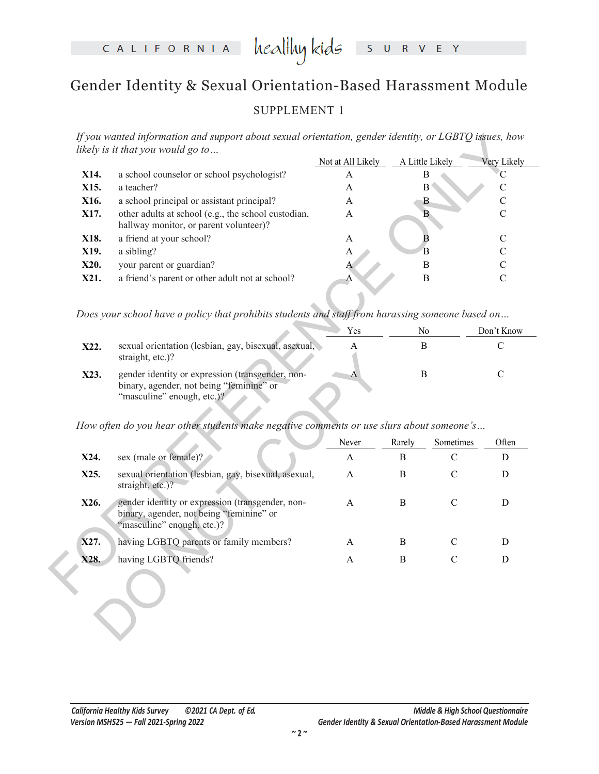## Gender Identity & Sexual Orientation-Based Harassment Module

### SUPPLEMENT 1

*If you wanted information and support about sexual orientation, gender identity, or LGBTQ issues, how likely is it that you would go to…*

|      |                                                                                                                            | Not at All Likely | A Little Likely         | Very Likely        |
|------|----------------------------------------------------------------------------------------------------------------------------|-------------------|-------------------------|--------------------|
| X14. | a school counselor or school psychologist?                                                                                 | A                 | Β                       | C                  |
| X15. | a teacher?                                                                                                                 | A                 | $\overline{B}$          | $\mathbf C$        |
| X16. | a school principal or assistant principal?                                                                                 | $\mathbf{A}$      | B                       | $\mathbf C$        |
| X17. | other adults at school (e.g., the school custodian,<br>hallway monitor, or parent volunteer)?                              | A                 | $\mathbf{B}$            | $\mathbf C$        |
| X18. | a friend at your school?                                                                                                   | $\mathbf{A}$      | $\overline{\mathbf{B}}$ | ${\bf C}$          |
| X19. | a sibling?                                                                                                                 | A                 | $\overline{B}$          | $\mathbf C$        |
| X20. | your parent or guardian?                                                                                                   | A                 | $\, {\bf B}$            | $\mathcal{C}$      |
| X21. | a friend's parent or other adult not at school?                                                                            | A                 | $\, {\bf B}$            | $\mathbf C$        |
|      | Does your school have a policy that prohibits students and staff from harassing someone based on                           | Yes               | No                      | Don't Know         |
|      |                                                                                                                            |                   |                         |                    |
| X22. | sexual orientation (lesbian, gay, bisexual, asexual,<br>straight, etc.)?                                                   | A                 | $\bf{B}$                | C                  |
| X23. | gender identity or expression (transgender, non-<br>binary, agender, not being "feminine" or<br>"masculine" enough, etc.)? | $\boldsymbol{A}$  | $\, {\bf B}$            | $\mathcal{C}$      |
|      | How often do you hear other students make negative comments or use slurs about someone's                                   |                   |                         |                    |
|      |                                                                                                                            | Never             | Rarely                  | Often<br>Sometimes |
| X24. | sex (male or female)?                                                                                                      | A                 | B                       | $\mathcal{C}$<br>D |
| X25. | sexual orientation (lesbian, gay, bisexual, asexual,<br>straight, etc.)?                                                   | $\mathbf{A}$      | B                       | $\mathbf C$<br>D   |
|      | gender identity or expression (transgender, non-<br>binary, agender, not being "feminine" or                               | $\mathbf{A}$      | B                       | $\mathcal{C}$<br>D |
| X26. | "masculine" enough, etc.)?                                                                                                 |                   |                         |                    |
| X27. | having LGBTQ parents or family members?                                                                                    | A                 | B                       | $\mathcal{C}$<br>D |

|      | Yes                                                                                                                        | Nο | Don't Know |
|------|----------------------------------------------------------------------------------------------------------------------------|----|------------|
| X22. | sexual orientation (lesbian, gay, bisexual, asexual,<br>straight, etc.)?                                                   |    |            |
| X23. | gender identity or expression (transgender, non-<br>binary, agender, not being "feminine" or<br>"masculine" enough, etc.)? |    |            |

|      | straight, etc.)?                                                                                                           |              |              |               |       |
|------|----------------------------------------------------------------------------------------------------------------------------|--------------|--------------|---------------|-------|
| X23. | gender identity or expression (transgender, non-<br>binary, agender, not being "feminine" or<br>"masculine" enough, etc.)? | А            | B            |               | C     |
|      | How often do you hear other students make negative comments or use slurs about someone's                                   |              |              |               |       |
|      |                                                                                                                            | Never        | Rarely       | Sometimes     | Often |
| X24. | sex (male or female)?                                                                                                      | A            | B            | $\mathcal{C}$ | D     |
| X25. | sexual orientation (lesbian, gay, bisexual, asexual,<br>straight, etc.)?                                                   | $\mathsf{A}$ | B            | C             | D     |
| X26. | gender identity or expression (transgender, non-<br>binary, agender, not being "feminine" or<br>"masculine" enough, etc.)? | $\mathsf{A}$ | B            | $\mathcal{C}$ | D     |
| X27. | having LGBTQ parents or family members?                                                                                    | $\mathsf{A}$ | <sub>B</sub> | C             | D     |
| X28. | having LGBTQ friends?                                                                                                      | A            | B            | C             | D     |
|      |                                                                                                                            |              |              |               |       |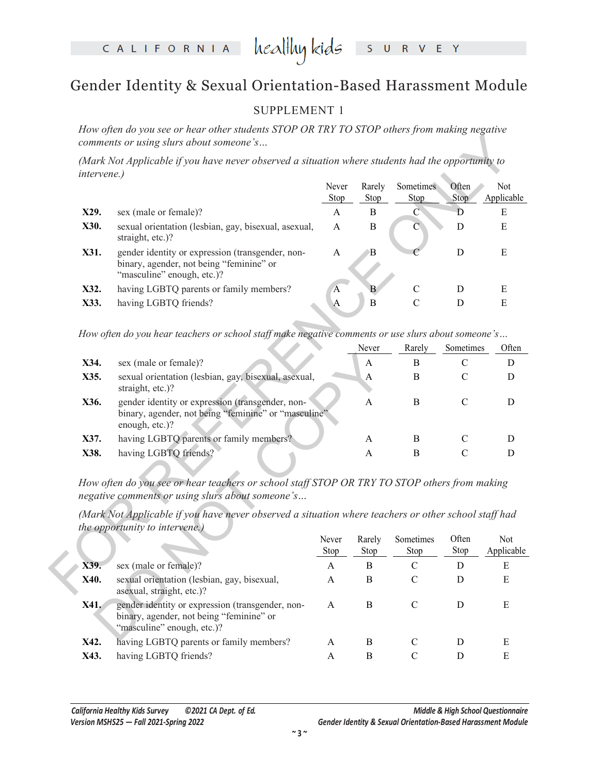# CALIFORNIA healthykids SURVEY

## Gender Identity & Sexual Orientation-Based Harassment Module

#### SUPPLEMENT 1

*How often do you see or hear other students STOP OR TRY TO STOP others from making negative comments or using slurs about someone's…* 

| <i>intervene.)</i> | (Mark Not Applicable if you have never observed a situation where students had the opportunity to                                      |                         |                |                   |                |                      |
|--------------------|----------------------------------------------------------------------------------------------------------------------------------------|-------------------------|----------------|-------------------|----------------|----------------------|
|                    |                                                                                                                                        | Never<br>Stop           | Rarely<br>Stop | Sometimes<br>Stop | Often<br>Stop  | Not<br>Applicable    |
| X29.               | sex (male or female)?                                                                                                                  | $\mathbf{A}$            | $\bf{B}$       | $\overline{C}$    | Ð              | ${\bf E}$            |
| X30.               | sexual orientation (lesbian, gay, bisexual, asexual,<br>straight, etc.)?                                                               | A                       | $\mathbf B$    | С                 | D              | E                    |
| X31.               | gender identity or expression (transgender, non-<br>binary, agender, not being "feminine" or<br>"masculine" enough, etc.)?             | $\mathbf{A}$            | $\mathbf B$    |                   | $\mathbf D$    | E                    |
| X32.               | having LGBTQ parents or family members?                                                                                                | $\overline{\mathbf{A}}$ | B              | $\mathcal{C}$     | $\mathbf D$    | E                    |
| X33.               | having LGBTQ friends?                                                                                                                  | $\overline{A}$          | $\mathbf B$    | $\overline{C}$    | ${\bf D}$      | ${\bf E}$            |
| X35.               | sexual orientation (lesbian, gay, bisexual, asexual,<br>straight, etc.)?                                                               |                         | A              | B                 | $\mathcal{C}$  | $\mathbf D$          |
| X34.               | How often do you hear teachers or school staff make negative comments or use slurs about someone's<br>sex (male or female)?            |                         | Never<br>A     | Rarely<br>B       | Sometimes<br>C | Often<br>$\mathbf D$ |
| X36.               | gender identity or expression (transgender, non-                                                                                       |                         | A              | B                 | $\mathcal{C}$  | D                    |
|                    | binary, agender, not being "feminine" or "masculine"<br>enough, etc.)?                                                                 |                         |                |                   |                |                      |
| X37.               | having LGBTQ parents or family members?                                                                                                |                         | A              | B                 | $\mathsf{C}$   | D                    |
| X38.               | having LGBTQ friends?                                                                                                                  |                         | A              | B                 | $\mathcal{C}$  | D                    |
|                    | How often do you see or hear teachers or school staff STOP OR TRY TO STOP others from making                                           |                         |                |                   |                |                      |
|                    | negative comments or using slurs about someone's                                                                                       |                         |                |                   |                |                      |
|                    | (Mark Not Applicable if you have never observed a situation where teachers or other school staff had<br>the opportunity to intervene.) |                         |                |                   |                |                      |
|                    |                                                                                                                                        | Never                   | Rarely         | Sometimes         | Often          | Not                  |
|                    |                                                                                                                                        | Stop                    | Stop           | Stop              | Stop           | Applicable           |
| X39.               | sex (male or female)?                                                                                                                  | $\mathbf{A}$            | $\, {\bf B}$   | $\mathcal{C}$     | D              | E                    |
| X40.               | sexual orientation (lesbian, gay, bisexual,<br>asexual, straight, etc.)?                                                               | A                       | $\bf{B}$       | $\mathcal{C}$     | D              | E                    |

|                |                                                                                                                                        |              | Never  | Rarely        | Sometimes     | Often      |
|----------------|----------------------------------------------------------------------------------------------------------------------------------------|--------------|--------|---------------|---------------|------------|
| X34.           | sex (male or female)?                                                                                                                  |              | A      | B             | C             | D          |
| X35.           | sexual orientation (lesbian, gay, bisexual, asexual,<br>straight, etc.)?                                                               |              | A      | B             | $\mathcal{C}$ | D          |
| X36.           | gender identity or expression (transgender, non-<br>binary, agender, not being "feminine" or "masculine"<br>enough, etc.)?             |              | A      | B             | $\mathcal{C}$ | D          |
| X37.           | having LGBTQ parents or family members?                                                                                                |              | A      | B             | C             | D          |
| X38.           | having LGBTQ friends?                                                                                                                  |              | A      | B             | C             | D          |
|                | (Mark Not Applicable if you have never observed a situation where teachers or other school staff had<br>the opportunity to intervene.) | Never        | Rarely | Sometimes     | Often         | Not        |
|                |                                                                                                                                        | Stop         | Stop   | Stop          | Stop          | Applicable |
| X39.           | sex (male or female)?                                                                                                                  | A            | B      | C             | D             | E          |
| X40.           | sexual orientation (lesbian, gay, bisexual,<br>asexual, straight, etc.)?                                                               | $\mathsf{A}$ | B      | C             | D             | E          |
| X41.           | gender identity or expression (transgender, non-<br>binary, agender, not being "feminine" or<br>"masculine" enough, etc.)?             | $\mathsf{A}$ | B      | $\mathcal{C}$ | D             | E          |
| V <sub>1</sub> | $\mu_{\text{avima}}$ $\sim$ LCDTO <i>monomta</i> an family monohoma?                                                                   |              | D      |               | <sub>D</sub>  | Е          |

|              |                                                                                                                            | Never<br>Stop | Rarely<br>Stop | Sometimes<br>Stop | Often<br>Stop | <b>Not</b><br>Applicable |
|--------------|----------------------------------------------------------------------------------------------------------------------------|---------------|----------------|-------------------|---------------|--------------------------|
| X39.         | sex (male or female)?                                                                                                      | А             | В              |                   | D             | Е                        |
| X40.         | sexual orientation (lesbian, gay, bisexual,<br>as exual, straight, etc.)?                                                  | A             | В              |                   | D             | Е                        |
| X41.         | gender identity or expression (transgender, non-<br>binary, agender, not being "feminine" or<br>"masculine" enough, etc.)? | A             | В              |                   | Ð             | E                        |
| X42.<br>X43. | having LGBTQ parents or family members?<br>having LGBTQ friends?                                                           | A<br>A        | B<br>В         |                   |               | Е<br>E                   |